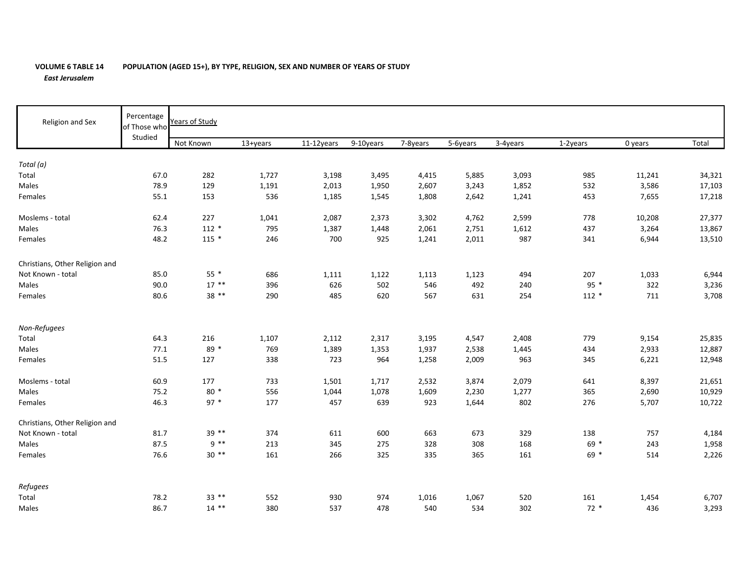## **VOLUME 6 TABLE 14 POPULATION (AGED 15+), BY TYPE, RELIGION, SEX AND NUMBER OF YEARS OF STUDY** *East Jerusalem*

| Religion and Sex               | Percentage<br>of Those who<br>Studied | Years of Study |          |            |           |          |          |          |          |         |        |  |
|--------------------------------|---------------------------------------|----------------|----------|------------|-----------|----------|----------|----------|----------|---------|--------|--|
|                                |                                       | Not Known      | 13+years | 11-12years | 9-10years | 7-8years | 5-6years | 3-4years | 1-2years | 0 years | Total  |  |
| Total (a)                      |                                       |                |          |            |           |          |          |          |          |         |        |  |
| Total                          | 67.0                                  | 282            | 1,727    | 3,198      | 3,495     | 4,415    | 5,885    | 3,093    | 985      | 11,241  | 34,321 |  |
| Males                          | 78.9                                  | 129            | 1,191    | 2,013      | 1,950     | 2,607    | 3,243    | 1,852    | 532      | 3,586   | 17,103 |  |
| Females                        | 55.1                                  | 153            | 536      | 1,185      | 1,545     | 1,808    | 2,642    | 1,241    | 453      | 7,655   | 17,218 |  |
| Moslems - total                | 62.4                                  | 227            | 1,041    | 2,087      | 2,373     | 3,302    | 4,762    | 2,599    | 778      | 10,208  | 27,377 |  |
| Males                          | 76.3                                  | $112 *$        | 795      | 1,387      | 1,448     | 2,061    | 2,751    | 1,612    | 437      | 3,264   | 13,867 |  |
| Females                        | 48.2                                  | $115 *$        | 246      | 700        | 925       | 1,241    | 2,011    | 987      | 341      | 6,944   | 13,510 |  |
| Christians, Other Religion and |                                       |                |          |            |           |          |          |          |          |         |        |  |
| Not Known - total              | 85.0                                  | $55*$          | 686      | 1,111      | 1,122     | 1,113    | 1,123    | 494      | 207      | 1,033   | 6,944  |  |
| Males                          | 90.0                                  | $17***$        | 396      | 626        | 502       | 546      | 492      | 240      | $95 *$   | 322     | 3,236  |  |
| Females                        | 80.6                                  | 38 **          | 290      | 485        | 620       | 567      | 631      | 254      | $112 *$  | 711     | 3,708  |  |
| Non-Refugees                   |                                       |                |          |            |           |          |          |          |          |         |        |  |
| Total                          | 64.3                                  | 216            | 1,107    | 2,112      | 2,317     | 3,195    | 4,547    | 2,408    | 779      | 9,154   | 25,835 |  |
| Males                          | 77.1                                  | 89 *           | 769      | 1,389      | 1,353     | 1,937    | 2,538    | 1,445    | 434      | 2,933   | 12,887 |  |
| Females                        | 51.5                                  | 127            | 338      | 723        | 964       | 1,258    | 2,009    | 963      | 345      | 6,221   | 12,948 |  |
| Moslems - total                | 60.9                                  | 177            | 733      | 1,501      | 1,717     | 2,532    | 3,874    | 2,079    | 641      | 8,397   | 21,651 |  |
| Males                          | 75.2                                  | $80*$          | 556      | 1,044      | 1,078     | 1,609    | 2,230    | 1,277    | 365      | 2,690   | 10,929 |  |
| Females                        | 46.3                                  | $97 *$         | 177      | 457        | 639       | 923      | 1,644    | 802      | 276      | 5,707   | 10,722 |  |
| Christians, Other Religion and |                                       |                |          |            |           |          |          |          |          |         |        |  |
| Not Known - total              | 81.7                                  | $39**$         | 374      | 611        | 600       | 663      | 673      | 329      | 138      | 757     | 4,184  |  |
| Males                          | 87.5                                  | $9 * *$        | 213      | 345        | 275       | 328      | 308      | 168      | 69 *     | 243     | 1,958  |  |
| Females                        | 76.6                                  | $30**$         | 161      | 266        | 325       | 335      | 365      | 161      | $69 *$   | 514     | 2,226  |  |
| Refugees                       |                                       |                |          |            |           |          |          |          |          |         |        |  |
| Total                          | 78.2                                  | $33***$        | 552      | 930        | 974       | 1,016    | 1,067    | 520      | 161      | 1,454   | 6,707  |  |
| Males                          | 86.7                                  | $14$ **        | 380      | 537        | 478       | 540      | 534      | 302      | $72*$    | 436     | 3,293  |  |